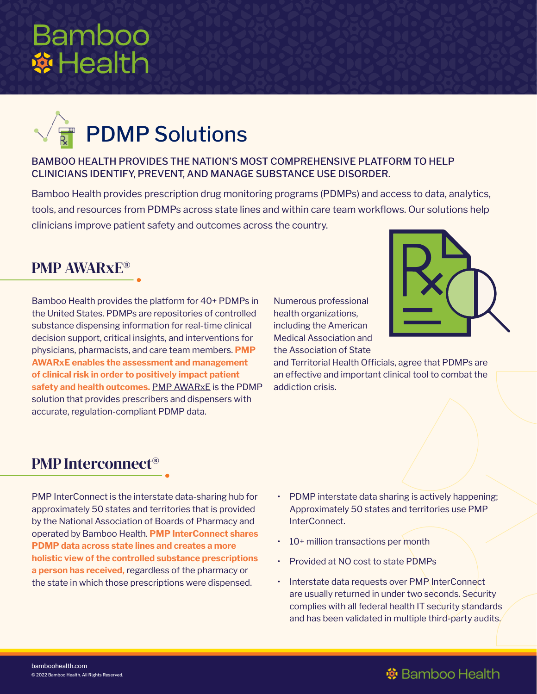# **Bamboo ※Health**



#### BAMBOO HEALTH PROVIDES THE NATION'S MOST COMPREHENSIVE PLATFORM TO HELP CLINICIANS IDENTIFY, PREVENT, AND MANAGE SUBSTANCE USE DISORDER.

Bamboo Health provides prescription drug monitoring programs (PDMPs) and access to data, analytics, tools, and resources from PDMPs across state lines and within care team workflows. Our solutions help clinicians improve patient safety and outcomes across the country.

## PMP AWARxE®

Bamboo Health provides the platform for 40+ PDMPs in the United States. PDMPs are repositories of controlled substance dispensing information for real-time clinical decision support, critical insights, and interventions for physicians, pharmacists, and care team members. **PMP AWARxE enables the assessment and management of clinical risk in order to positively impact patient safety and health outcomes.** [PMP AWARxE](https://bamboohealth.com/solutions/pmp-awarxe/) is the PDMP solution that provides prescribers and dispensers with accurate, regulation-compliant PDMP data.

Numerous professional health organizations, including the American Medical Association and the Association of State



and Territorial Health Officials, agree that PDMPs are an effective and important clinical tool to combat the addiction crisis.

#### PMP Interconnect®

PMP InterConnect is the interstate data-sharing hub for approximately 50 states and territories that is provided by the National Association of Boards of Pharmacy and operated by Bamboo Health. **PMP InterConnect shares PDMP data across state lines and creates a more holistic view of the controlled substance prescriptions a person has received,** regardless of the pharmacy or the state in which those prescriptions were dispensed.

- PDMP interstate data sharing is actively happening; Approximately 50 states and territories use PMP InterConnect.
- 10+ million transactions per month
- Provided at NO cost to state PDMPs
- Interstate data requests over PMP InterConnect are usually returned in under two seconds. Security complies with all federal health IT security standards and has been validated in multiple third-party audits.